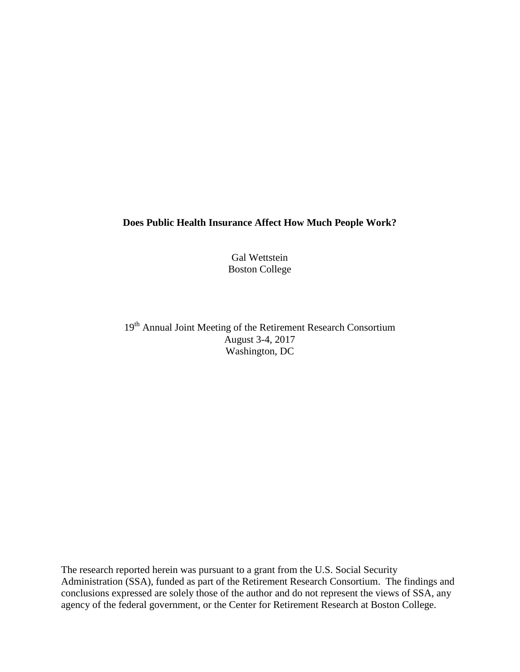# **Does Public Health Insurance Affect How Much People Work?**

Gal Wettstein Boston College

19<sup>th</sup> Annual Joint Meeting of the Retirement Research Consortium August 3-4, 2017 Washington, DC

The research reported herein was pursuant to a grant from the U.S. Social Security Administration (SSA), funded as part of the Retirement Research Consortium. The findings and conclusions expressed are solely those of the author and do not represent the views of SSA, any agency of the federal government, or the Center for Retirement Research at Boston College.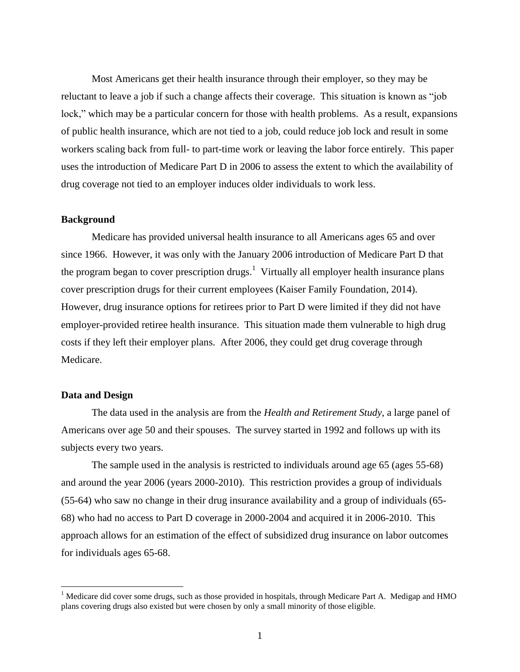Most Americans get their health insurance through their employer, so they may be reluctant to leave a job if such a change affects their coverage. This situation is known as "job lock," which may be a particular concern for those with health problems. As a result, expansions of public health insurance, which are not tied to a job, could reduce job lock and result in some workers scaling back from full- to part-time work or leaving the labor force entirely. This paper uses the introduction of Medicare Part D in 2006 to assess the extent to which the availability of drug coverage not tied to an employer induces older individuals to work less.

## **Background**

Medicare has provided universal health insurance to all Americans ages 65 and over since 1966. However, it was only with the January 2006 introduction of Medicare Part D that the program began to cover prescription drugs.<sup>1</sup> Virtually all employer health insurance plans cover prescription drugs for their current employees (Kaiser Family Foundation, 2014). However, drug insurance options for retirees prior to Part D were limited if they did not have employer-provided retiree health insurance. This situation made them vulnerable to high drug costs if they left their employer plans. After 2006, they could get drug coverage through Medicare.

#### **Data and Design**

 $\overline{\phantom{a}}$ 

The data used in the analysis are from the *Health and Retirement Study*, a large panel of Americans over age 50 and their spouses. The survey started in 1992 and follows up with its subjects every two years.

The sample used in the analysis is restricted to individuals around age 65 (ages 55-68) and around the year 2006 (years 2000-2010). This restriction provides a group of individuals (55-64) who saw no change in their drug insurance availability and a group of individuals (65- 68) who had no access to Part D coverage in 2000-2004 and acquired it in 2006-2010. This approach allows for an estimation of the effect of subsidized drug insurance on labor outcomes for individuals ages 65-68.

<sup>&</sup>lt;sup>1</sup> Medicare did cover some drugs, such as those provided in hospitals, through Medicare Part A. Medigap and HMO plans covering drugs also existed but were chosen by only a small minority of those eligible.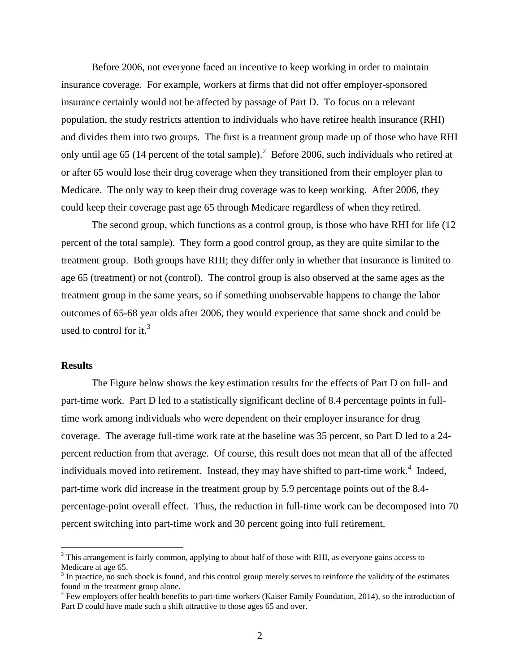Before 2006, not everyone faced an incentive to keep working in order to maintain insurance coverage. For example, workers at firms that did not offer employer-sponsored insurance certainly would not be affected by passage of Part D. To focus on a relevant population, the study restricts attention to individuals who have retiree health insurance (RHI) and divides them into two groups. The first is a treatment group made up of those who have RHI only until age 65 (14 percent of the total sample).<sup>2</sup> Before 2006, such individuals who retired at or after 65 would lose their drug coverage when they transitioned from their employer plan to Medicare. The only way to keep their drug coverage was to keep working. After 2006, they could keep their coverage past age 65 through Medicare regardless of when they retired.

The second group, which functions as a control group, is those who have RHI for life (12 percent of the total sample). They form a good control group, as they are quite similar to the treatment group. Both groups have RHI; they differ only in whether that insurance is limited to age 65 (treatment) or not (control). The control group is also observed at the same ages as the treatment group in the same years, so if something unobservable happens to change the labor outcomes of 65-68 year olds after 2006, they would experience that same shock and could be used to control for it.<sup>3</sup>

## **Results**

l

The Figure below shows the key estimation results for the effects of Part D on full- and part-time work. Part D led to a statistically significant decline of 8.4 percentage points in fulltime work among individuals who were dependent on their employer insurance for drug coverage. The average full-time work rate at the baseline was 35 percent, so Part D led to a 24 percent reduction from that average. Of course, this result does not mean that all of the affected individuals moved into retirement. Instead, they may have shifted to part-time work.<sup>4</sup> Indeed, part-time work did increase in the treatment group by 5.9 percentage points out of the 8.4 percentage-point overall effect. Thus, the reduction in full-time work can be decomposed into 70 percent switching into part-time work and 30 percent going into full retirement.

<sup>&</sup>lt;sup>2</sup> This arrangement is fairly common, applying to about half of those with RHI, as everyone gains access to Medicare at age 65.

 $3$  In practice, no such shock is found, and this control group merely serves to reinforce the validity of the estimates found in the treatment group alone.

<sup>&</sup>lt;sup>4</sup> Few employers offer health benefits to part-time workers (Kaiser Family Foundation, 2014), so the introduction of Part D could have made such a shift attractive to those ages 65 and over.